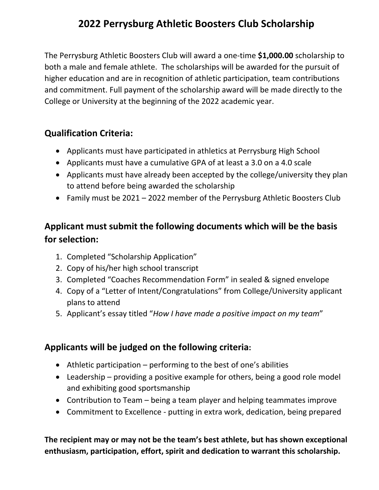# **2022 Perrysburg Athletic Boosters Club Scholarship**

The Perrysburg Athletic Boosters Club will award a one‐time **\$1,000.00** scholarship to both a male and female athlete. The scholarships will be awarded for the pursuit of higher education and are in recognition of athletic participation, team contributions and commitment. Full payment of the scholarship award will be made directly to the College or University at the beginning of the 2022 academic year.

## **Qualification Criteria:**

- Applicants must have participated in athletics at Perrysburg High School
- Applicants must have a cumulative GPA of at least a 3.0 on a 4.0 scale
- Applicants must have already been accepted by the college/university they plan to attend before being awarded the scholarship
- Family must be 2021 2022 member of the Perrysburg Athletic Boosters Club

## **Applicant must submit the following documents which will be the basis for selection:**

- 1. Completed "Scholarship Application"
- 2. Copy of his/her high school transcript
- 3. Completed "Coaches Recommendation Form" in sealed & signed envelope
- 4. Copy of a "Letter of Intent/Congratulations" from College/University applicant plans to attend
- 5. Applicant's essay titled "*How I have made a positive impact on my team*"

## **Applicants will be judged on the following criteria:**

- $\bullet$  Athletic participation performing to the best of one's abilities
- Leadership providing a positive example for others, being a good role model and exhibiting good sportsmanship
- Contribution to Team being a team player and helping teammates improve
- Commitment to Excellence putting in extra work, dedication, being prepared

**The recipient may or may not be the team's best athlete, but has shown exceptional enthusiasm, participation, effort, spirit and dedication to warrant this scholarship.**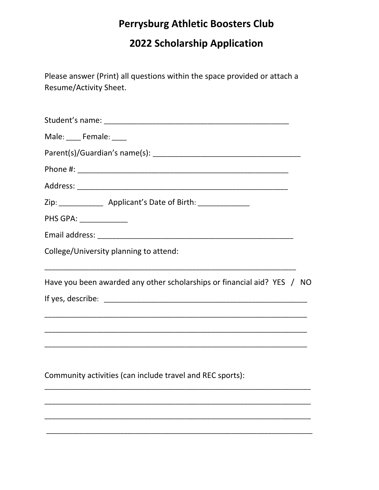# **Perrysburg Athletic Boosters Club**

2022 Scholarship Application

Please answer (Print) all questions within the space provided or attach a Resume/Activity Sheet.

| Male: Female: ____                                                      |  |
|-------------------------------------------------------------------------|--|
|                                                                         |  |
|                                                                         |  |
|                                                                         |  |
| Zip: _________________ Applicant's Date of Birth: _________________     |  |
| PHS GPA: ______________                                                 |  |
|                                                                         |  |
| College/University planning to attend:                                  |  |
| Have you been awarded any other scholarships or financial aid? YES / NO |  |
|                                                                         |  |
|                                                                         |  |
|                                                                         |  |
| Community activities (can include travel and REC sports):               |  |
|                                                                         |  |
|                                                                         |  |
|                                                                         |  |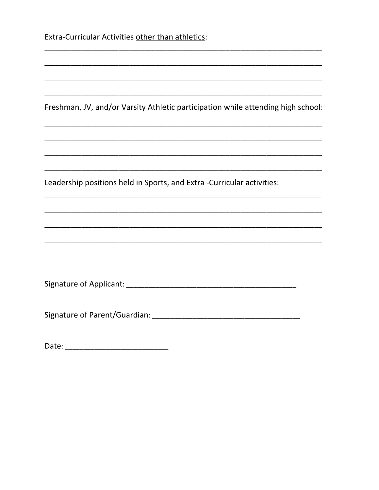Extra-Curricular Activities other than athletics:

Freshman, JV, and/or Varsity Athletic participation while attending high school:

Leadership positions held in Sports, and Extra -Curricular activities: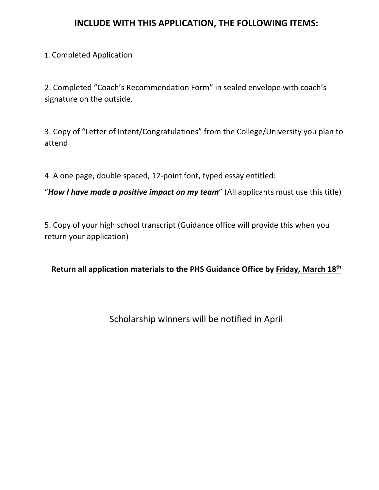### **INCLUDE WITH THIS APPLICATION, THE FOLLOWING ITEMS:**

#### 1. Completed Application

2. Completed "Coach's Recommendation Form" in sealed envelope with coach's signature on the outside.

3. Copy of "Letter of Intent/Congratulations" from the College/University you plan to attend

4. A one page, double spaced, 12‐point font, typed essay entitled:

"*How I have made a positive impact on my team*" (All applicants must use this title)

5. Copy of your high school transcript (Guidance office will provide this when you return your application)

**Return all application materials to the PHS Guidance Office by Friday, March 18th**

Scholarship winners will be notified in April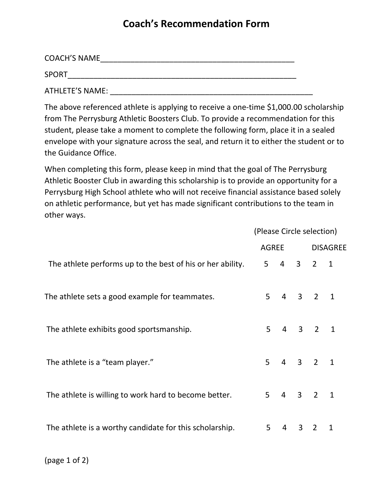## **Coach's Recommendation Form**

| <b>COACH'S NAME</b> |  |
|---------------------|--|
| <b>SPORT</b>        |  |
| ATHLETE'S NAME:     |  |

The above referenced athlete is applying to receive a one-time \$1,000.00 scholarship from The Perrysburg Athletic Boosters Club. To provide a recommendation for this student, please take a moment to complete the following form, place it in a sealed envelope with your signature across the seal, and return it to either the student or to the Guidance Office.

When completing this form, please keep in mind that the goal of The Perrysburg Athletic Booster Club in awarding this scholarship is to provide an opportunity for a Perrysburg High School athlete who will not receive financial assistance based solely on athletic performance, but yet has made significant contributions to the team in other ways.

(Please Circle selection)

|                                                            | $18800$ $-10100$ $-1000$ |             |         |   |                |  |
|------------------------------------------------------------|--------------------------|-------------|---------|---|----------------|--|
|                                                            |                          |             |         |   | AGREE DISAGREE |  |
| The athlete performs up to the best of his or her ability. | 5 <sub>1</sub>           |             | 4 3 2 1 |   |                |  |
| The athlete sets a good example for teammates.             | 5                        | 4 3 2 1     |         |   |                |  |
| The athlete exhibits good sportsmanship.                   | 5 <sup>1</sup>           | 4 3 2 1     |         |   |                |  |
| The athlete is a "team player."                            |                          | $5$ 4 3 2 1 |         |   |                |  |
| The athlete is willing to work hard to become better.      | 5 <sup>1</sup>           | $4$ 3 2 1   |         |   |                |  |
| The athlete is a worthy candidate for this scholarship.    | 5                        | 4           | 3       | 2 | $\mathbf{1}$   |  |